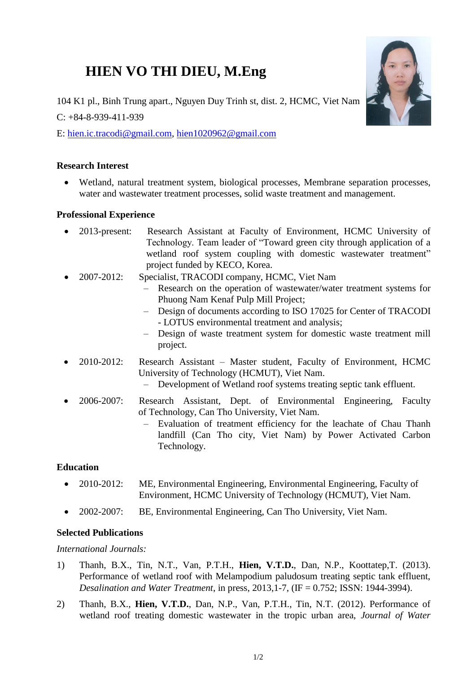# **HIEN VO THI DIEU, M.Eng**



104 K1 pl., Binh Trung apart., Nguyen Duy Trinh st, dist. 2, HCMC, Viet Nam

 $C: +84-8-939-411-939$ 

E: [hien.ic.tracodi@gmail.com,](mailto:hien.ic.tracodi@gmail.com) [hien1020962@gmail.com](mailto:hien1020962@gmail.com)

## **Research Interest**

 Wetland, natural treatment system, biological processes, Membrane separation processes, water and wastewater treatment processes, solid waste treatment and management.

## **Professional Experience**

- 2013-present: Research Assistant at Faculty of Environment, HCMC University of Technology. Team leader of "Toward green city through application of a wetland roof system coupling with domestic wastewater treatment" project funded by KECO, Korea.
	- 2007-2012: Specialist, TRACODI company, HCMC, Viet Nam
		- Research on the operation of wastewater/water treatment systems for Phuong Nam Kenaf Pulp Mill Project;
		- Design of documents according to ISO 17025 for Center of TRACODI - LOTUS environmental treatment and analysis;
		- Design of waste treatment system for domestic waste treatment mill project.
- 2010-2012: Research Assistant Master student, Faculty of Environment, HCMC University of Technology (HCMUT), Viet Nam.
	- Development of Wetland roof systems treating septic tank effluent.
- 2006-2007: Research Assistant, Dept. of Environmental Engineering, Faculty of Technology, Can Tho University, Viet Nam.
	- Evaluation of treatment efficiency for the leachate of Chau Thanh landfill (Can Tho city, Viet Nam) by Power Activated Carbon Technology.

# **Education**

- 2010-2012: ME, Environmental Engineering, Environmental Engineering, Faculty of Environment, HCMC University of Technology (HCMUT), Viet Nam.
- 2002-2007: BE, Environmental Engineering, Can Tho University, Viet Nam.

# **Selected Publications**

#### *International Journals:*

- 1) Thanh, B.X., Tin, N.T., Van, P.T.H., **Hien, V.T.D.**, Dan, N.P., Koottatep,T. (2013). Performance of wetland roof with Melampodium paludosum treating septic tank effluent, *Desalination and Water Treatment*, in press, 2013,1-7, (IF = 0.752; ISSN: 1944-3994).
- 2) Thanh, B.X., **Hien, V.T.D.**, Dan, N.P., Van, P.T.H., Tin, N.T. (2012). Performance of wetland roof treating domestic wastewater in the tropic urban area, *Journal of Water*